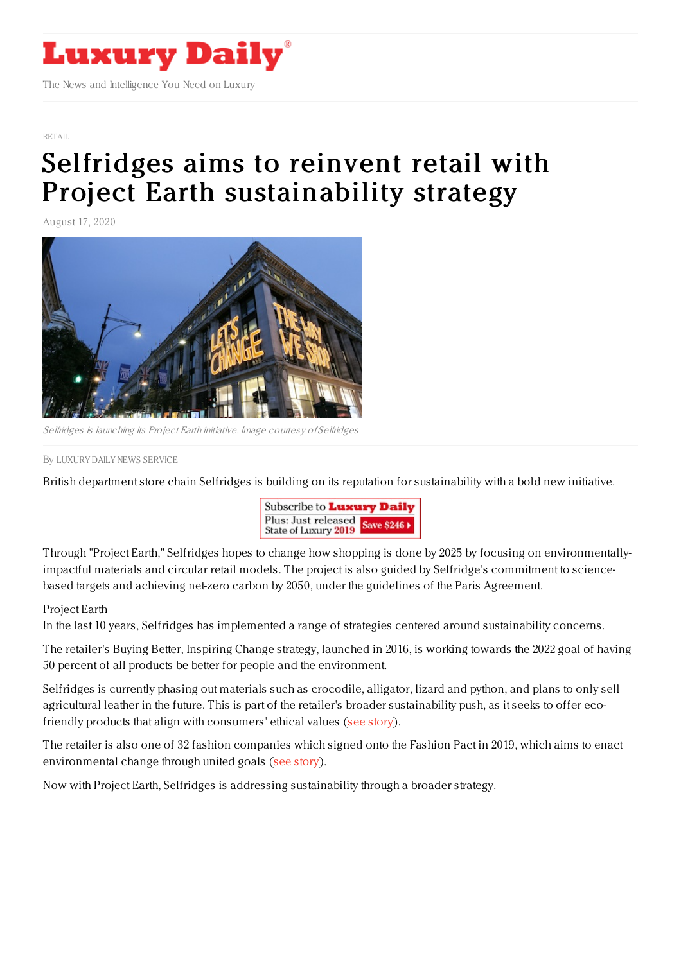

## [RETAIL](https://www.luxurydaily.com/category/sectors/retail-industry-sectors/)

## Selfridges aims to reinvent retail with Project Earth [sustainability](https://www.luxurydaily.com/selfridges-project-earth/) strategy

August 17, 2020



Selfridges is launching its Project Earth initiative. Image courtesy of Selfridges

By LUXURY DAILY NEWS [SERVICE](file:///author/luxury-daily-news-service)

British department store chain Selfridges is building on its reputation for sustainability with a bold new initiative.



Through "Project Earth," Selfridges hopes to change how shopping is done by 2025 by focusing on environmentallyimpactful materials and circular retail models. The project is also guided by Selfridge's commitment to sciencebased targets and achieving net-zero carbon by 2050, under the guidelines of the Paris Agreement.

## Project Earth

In the last 10 years, Selfridges has implemented a range of strategies centered around sustainability concerns.

The retailer's Buying Better, Inspiring Change strategy, launched in 2016, is working towards the 2022 goal of having 50 percent of all products be better for people and the environment.

Selfridges is currently phasing out materials such as crocodile, alligator, lizard and python, and plans to only sell agricultural leather in the future. This is part of the retailer's broader sustainability push, as it seeks to offer ecofriendly products that align with consumers' ethical values (see [story](https://www.luxurydaily.com/selfridges-to-stop-selling-exotic-skins/)).

The retailer is also one of 32 fashion companies which signed onto the Fashion Pact in 2019, which aims to enact environmental change through united goals (see [story](https://www.luxurydaily.com/fashion-pact-aims-to-enact-environmental-change-through-united-goals/)).

Now with Project Earth, Selfridges is addressing sustainability through a broader strategy.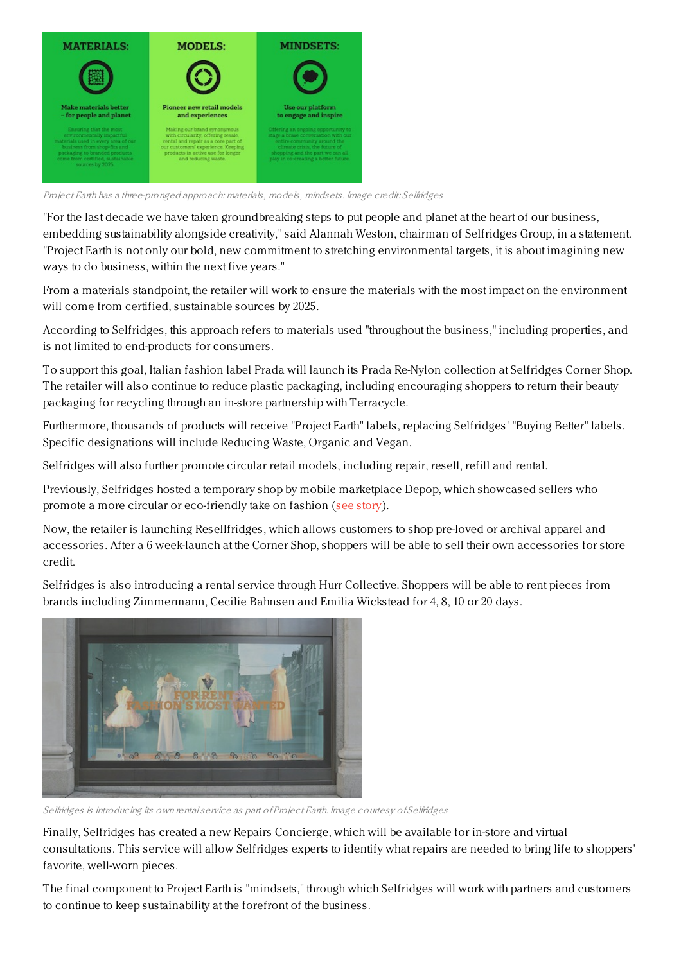

Project Earth has <sup>a</sup> three-pronged approach: materials, models, mindsets. Image credit: Selfridges

"For the last decade we have taken groundbreaking steps to put people and planet at the heart of our business, embedding sustainability alongside creativity," said Alannah Weston, chairman of Selfridges Group, in a statement. "Project Earth is not only our bold, new commitment to stretching environmental targets, it is about imagining new ways to do business, within the next five years."

From a materials standpoint, the retailer will work to ensure the materials with the most impact on the environment will come from certified, sustainable sources by 2025.

According to Selfridges, this approach refers to materials used "throughout the business," including properties, and is not limited to end-products for consumers.

To support this goal, Italian fashion label Prada will launch its Prada Re-Nylon collection at Selfridges Corner Shop. The retailer will also continue to reduce plastic packaging, including encouraging shoppers to return their beauty packaging for recycling through an in-store partnership with Terracycle.

Furthermore, thousands of products will receive "Project Earth" labels, replacing Selfridges' "Buying Better" labels. Specific designations will include Reducing Waste, Organic and Vegan.

Selfridges will also further promote circular retail models, including repair, resell, refill and rental.

Previously, Selfridges hosted a temporary shop by mobile marketplace Depop, which showcased sellers who promote a more circular or eco-friendly take on fashion (see [story](https://www.luxurydaily.com/selfridges-shows-commitment-to-circular-retail-with-depop-pop-up/)).

Now, the retailer is launching Resellfridges, which allows customers to shop pre-loved or archival apparel and accessories. After a 6 week-launch at the Corner Shop, shoppers will be able to sell their own accessories for store credit.

Selfridges is also introducing a rental service through Hurr Collective. Shoppers will be able to rent pieces from brands including Zimmermann, Cecilie Bahnsen and Emilia Wickstead for 4, 8, 10 or 20 days.



Selfridges is introducing its own rentalservice as part of Project Earth. Image courtesy of Selfridges

Finally, Selfridges has created a new Repairs Concierge, which will be available for in-store and virtual consultations. This service will allow Selfridges experts to identify what repairs are needed to bring life to shoppers' favorite, well-worn pieces.

The final component to Project Earth is "mindsets," through which Selfridges will work with partners and customers to continue to keep sustainability at the forefront of the business.